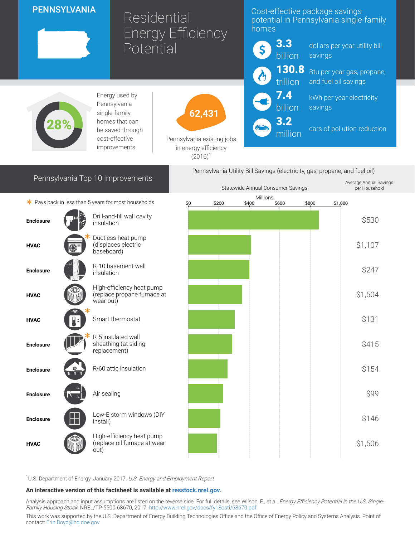# PENNSYLVANIA

# Residential Energy Efficiency **Potential**

## Cost-effective package savings potential in Pennsylvania single-family homes



million

dollars per year utility bill savings

Btu per year gas, propane, and fuel oil savings

kWh per year electricity savings

cars of pollution reduction

Average Annual Savings



Energy used by Pennsylvania single-family homes that can be saved through cost-effective improvements



Pennsylvania existing jobs in energy efficiency  $(2016)^1$ 

# Pennsylvania Top 10 Improvements



|                                                      |                                                                       | Statewide Annual Consumer Savings |  |       |       |                   |       | per Household |
|------------------------------------------------------|-----------------------------------------------------------------------|-----------------------------------|--|-------|-------|-------------------|-------|---------------|
| * Pays back in less than 5 years for most households |                                                                       |                                   |  |       |       |                   |       |               |
|                                                      | Drill-and-fill wall cavity<br>insulation                              |                                   |  |       |       |                   |       | \$530         |
|                                                      | Ductless heat pump<br>(displaces electric<br>baseboard)               |                                   |  |       |       |                   |       | \$1,107       |
|                                                      | R-10 basement wall<br>insulation                                      |                                   |  |       |       |                   |       | \$247         |
|                                                      | High-efficiency heat pump<br>(replace propane furnace at<br>wear out) |                                   |  |       |       |                   |       | \$1,504       |
|                                                      | Smart thermostat                                                      |                                   |  |       |       |                   |       | \$131         |
|                                                      | R-5 insulated wall<br>sheathing (at siding<br>replacement)            |                                   |  |       |       |                   |       | \$415         |
|                                                      | R-60 attic insulation                                                 |                                   |  |       |       |                   |       | \$154         |
|                                                      | Air sealing                                                           |                                   |  |       |       |                   |       | \$99          |
| m a                                                  | Low-E storm windows (DIY<br>install)                                  |                                   |  |       |       |                   |       | \$146         |
|                                                      | High-efficiency heat pump<br>(replace oil furnace at wear<br>out)     |                                   |  |       |       |                   |       | \$1,506       |
|                                                      |                                                                       | \$0                               |  | \$200 | \$400 | Millions<br>\$600 | \$800 | \$1,000       |

<sup>1</sup>U.S. Department of Energy. January 2017. U.S. Energy and Employment Report

#### An interactive version of this factsheet is available at [resstock.nrel.gov.](https://resstock.nrel.gov/)

Analysis approach and input assumptions are listed on the reverse side. For full details, see Wilson, E., et al. *Energy Efficiency Potential in the U.S. Single*-Family Housing Stock. NREL/TP-5500-68670, 2017. <http://www.nrel.gov/docs/fy18osti/68670.pdf>

This work was supported by the U.S. Department of Energy Building Technologies Office and the Office of Energy Policy and Systems Analysis. Point of contact: [Erin.Boyd@hq.doe.gov](mailto:Erin.Boyd@hq.doe.gov)